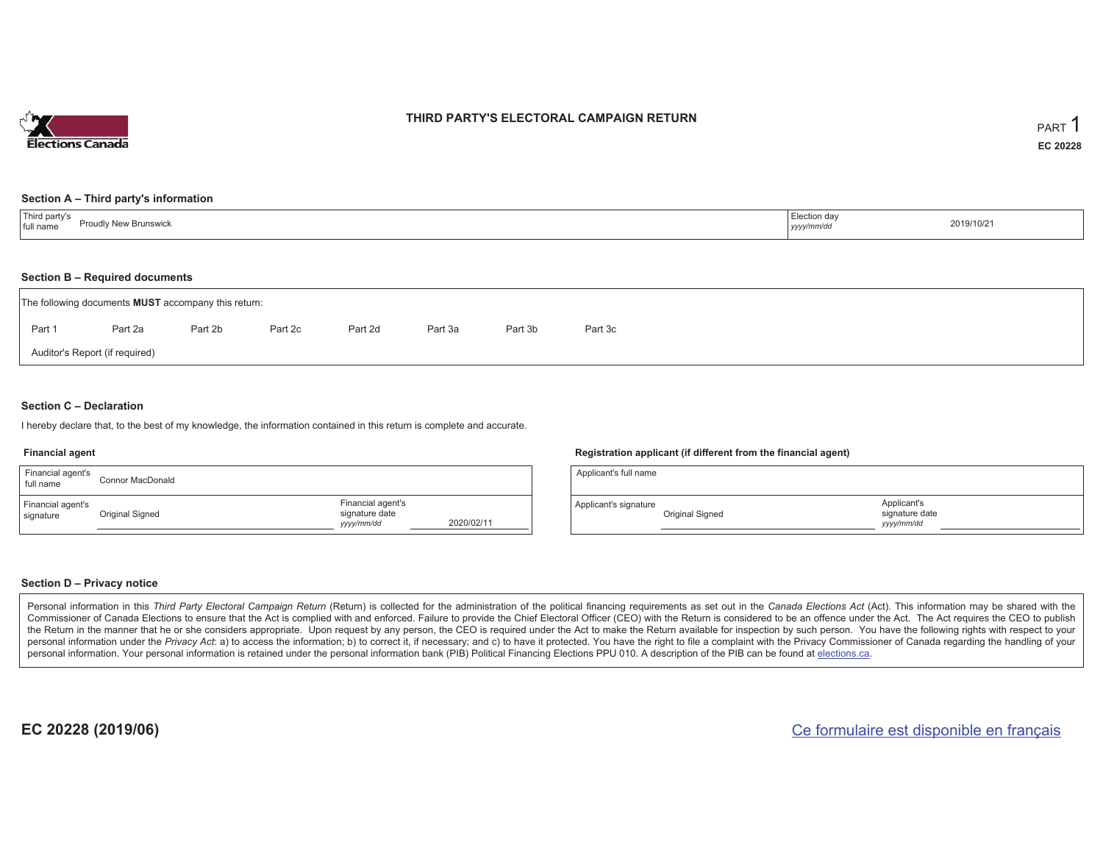

## **THIRD PARTY'S ELECTORAL CAMPAIGN RETURN**

#### **Section A – Third party's information**

| Third party's<br>Proudly New Brunswick<br>full name | Election day<br>yyyy/mm/dd | 2019/10/21 |
|-----------------------------------------------------|----------------------------|------------|
|-----------------------------------------------------|----------------------------|------------|

#### **Section B – Required documents**

|                                | The following documents <b>MUST</b> accompany this return: |         |         |         |         |         |         |  |  |
|--------------------------------|------------------------------------------------------------|---------|---------|---------|---------|---------|---------|--|--|
| Part 1                         | Part 2a                                                    | Part 2b | Part 2c | Part 2d | Part 3a | Part 3b | Part 3c |  |  |
| Auditor's Report (if required) |                                                            |         |         |         |         |         |         |  |  |

#### **Section C – Declaration**

I hereby declare that, to the best of my knowledge, the information contained in this return is complete and accurate.

#### **Financial agent**

| Financial agent's<br>full name | Connor MacDonald |                                                   |            |
|--------------------------------|------------------|---------------------------------------------------|------------|
| Financial agent's<br>signature | Original Signed  | Financial agent's<br>signature date<br>yyyy/mm/dd | 2020/02/11 |

#### **Registration applicant (if different from the financial agent)**

| Applicant's full name |                 |                                             |  |
|-----------------------|-----------------|---------------------------------------------|--|
| Applicant's signature | Original Signed | Applicant's<br>signature date<br>yyyy/mm/dd |  |

#### **Section D – Privacy notice**

Personal information in this Third Party Electoral Campaign Return (Return) is collected for the administration of the political financing requirements as set out in the Canada Elections Act (Act). This information may be Commissioner of Canada Elections to ensure that the Act is complied with and enforced. Failure to provide the Chief Electoral Officer (CEO) with the Return is considered to be an offence under the Act. The Act requires the the Return in the manner that he or she considers appropriate. Upon request by any person, the CEO is required under the Act to make the Return available for inspection by such person. You have the following rights with re personal information under the Privacy Act: a) to access the information; b) to correct it, if necessary; and c) to have it protected. You have the right to file a complaint with the Privacy Commissioner of Canada regardin personal information. Your personal information is retained under the personal information bank (PIB) Political Financing Elections PPU 010. A description of the PIB can be found at elections.ca.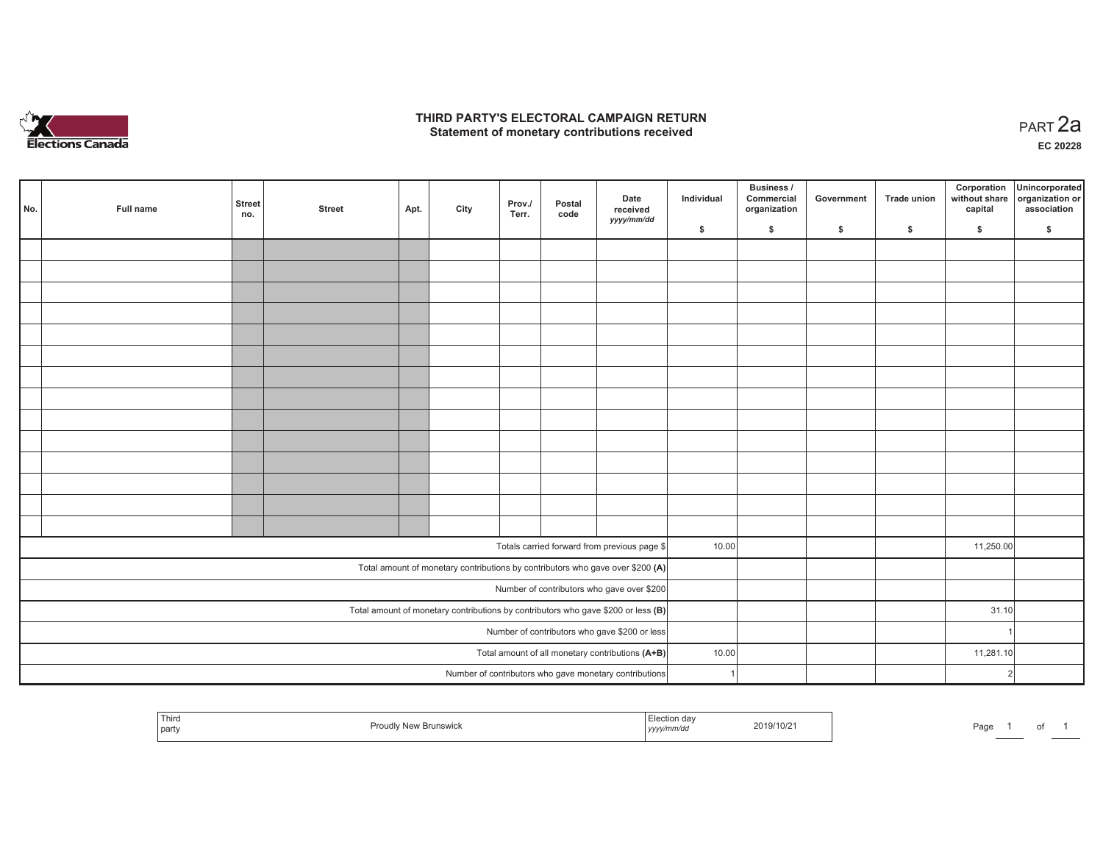

## **THIRD PARTY'S ELECTORAL CAMPAIGN RETURN HIRD PARTY'S ELECTORAL CAMPAIGN RETURN<br>Statement of monetary contributions received PART 2a**

**EC 20228**

| No.                                                                                                                          | Full name | <b>Street</b><br>no. | <b>Street</b> | Apt. | City | Prov./<br>Terr. | Postal<br>code | Date<br>received<br>yyyy/mm/dd                         | Individual | <b>Business /</b><br>Commercial<br>organization | Government   | Trade union  | Corporation<br>without share<br>capital | Unincorporated<br>organization or<br>association |
|------------------------------------------------------------------------------------------------------------------------------|-----------|----------------------|---------------|------|------|-----------------|----------------|--------------------------------------------------------|------------|-------------------------------------------------|--------------|--------------|-----------------------------------------|--------------------------------------------------|
|                                                                                                                              |           |                      |               |      |      |                 |                |                                                        | \$         | \$                                              | $\mathsf{s}$ | $\mathbf{s}$ | \$                                      | \$                                               |
|                                                                                                                              |           |                      |               |      |      |                 |                |                                                        |            |                                                 |              |              |                                         |                                                  |
|                                                                                                                              |           |                      |               |      |      |                 |                |                                                        |            |                                                 |              |              |                                         |                                                  |
|                                                                                                                              |           |                      |               |      |      |                 |                |                                                        |            |                                                 |              |              |                                         |                                                  |
|                                                                                                                              |           |                      |               |      |      |                 |                |                                                        |            |                                                 |              |              |                                         |                                                  |
|                                                                                                                              |           |                      |               |      |      |                 |                |                                                        |            |                                                 |              |              |                                         |                                                  |
|                                                                                                                              |           |                      |               |      |      |                 |                |                                                        |            |                                                 |              |              |                                         |                                                  |
|                                                                                                                              |           |                      |               |      |      |                 |                |                                                        |            |                                                 |              |              |                                         |                                                  |
|                                                                                                                              |           |                      |               |      |      |                 |                |                                                        |            |                                                 |              |              |                                         |                                                  |
|                                                                                                                              |           |                      |               |      |      |                 |                |                                                        |            |                                                 |              |              |                                         |                                                  |
|                                                                                                                              |           |                      |               |      |      |                 |                |                                                        |            |                                                 |              |              |                                         |                                                  |
|                                                                                                                              |           |                      |               |      |      |                 |                |                                                        |            |                                                 |              |              |                                         |                                                  |
|                                                                                                                              |           |                      |               |      |      |                 |                |                                                        |            |                                                 |              |              |                                         |                                                  |
|                                                                                                                              |           |                      |               |      |      |                 |                |                                                        |            |                                                 |              |              |                                         |                                                  |
|                                                                                                                              |           |                      |               |      |      |                 |                |                                                        |            |                                                 |              |              |                                         |                                                  |
|                                                                                                                              |           |                      |               |      |      |                 |                | Totals carried forward from previous page \$           | 10.00      |                                                 |              |              | 11,250.00                               |                                                  |
|                                                                                                                              |           |                      |               |      |      |                 |                |                                                        |            |                                                 |              |              |                                         |                                                  |
| Total amount of monetary contributions by contributors who gave over \$200 (A)<br>Number of contributors who gave over \$200 |           |                      |               |      |      |                 |                |                                                        |            |                                                 |              |              |                                         |                                                  |
| Total amount of monetary contributions by contributors who gave \$200 or less $(B)$                                          |           |                      |               |      |      |                 |                |                                                        |            |                                                 |              |              | 31.10                                   |                                                  |
| Number of contributors who gave \$200 or less                                                                                |           |                      |               |      |      |                 |                |                                                        |            |                                                 |              |              |                                         |                                                  |
| Total amount of all monetary contributions (A+B)                                                                             |           |                      |               |      |      |                 |                |                                                        |            |                                                 |              |              |                                         |                                                  |
|                                                                                                                              |           |                      |               |      |      |                 |                |                                                        | 10.00      |                                                 |              |              | 11,281.10                               |                                                  |
|                                                                                                                              |           |                      |               |      |      |                 |                | Number of contributors who gave monetary contributions |            |                                                 |              |              |                                         | 2                                                |

| Third<br>part | .<br>. | ,,,,, | 7/10/2<br><b>2018</b><br>the contract of the contract of the contract of the contract of the contract of | ┒▃.<br>aut |  |  |  |
|---------------|--------|-------|----------------------------------------------------------------------------------------------------------|------------|--|--|--|
|---------------|--------|-------|----------------------------------------------------------------------------------------------------------|------------|--|--|--|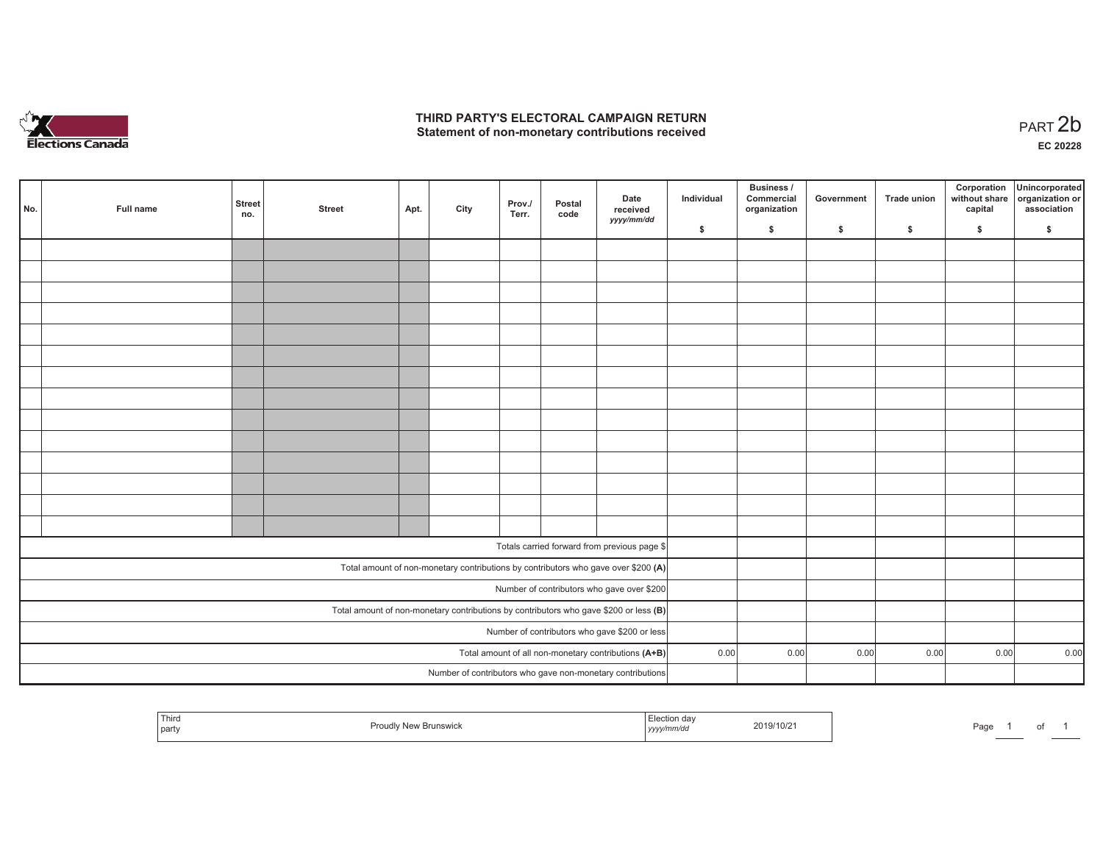

## **THIRD PARTY'S ELECTORAL CAMPAIGN RETURN**  THIRD PARTY'S ELECTORAL CAMPAIGN RETURN<br>Statement of non-monetary contributions received<br> **PART 2b**

| No.                                                                                     | Full name                                            | <b>Street</b><br>no. | <b>Street</b> | Apt. | City | Prov./<br>Terr. | Postal<br>code | Date<br>received<br>yyyy/mm/dd                             | Individual | <b>Business /</b><br>Commercial<br>organization | Government | Trade union | Corporation<br>capital | Unincorporated<br>without share organization or<br>association |
|-----------------------------------------------------------------------------------------|------------------------------------------------------|----------------------|---------------|------|------|-----------------|----------------|------------------------------------------------------------|------------|-------------------------------------------------|------------|-------------|------------------------|----------------------------------------------------------------|
|                                                                                         |                                                      |                      |               |      |      |                 |                |                                                            | \$         | \$                                              | \$         | \$          | \$                     | \$                                                             |
|                                                                                         |                                                      |                      |               |      |      |                 |                |                                                            |            |                                                 |            |             |                        |                                                                |
|                                                                                         |                                                      |                      |               |      |      |                 |                |                                                            |            |                                                 |            |             |                        |                                                                |
|                                                                                         |                                                      |                      |               |      |      |                 |                |                                                            |            |                                                 |            |             |                        |                                                                |
|                                                                                         |                                                      |                      |               |      |      |                 |                |                                                            |            |                                                 |            |             |                        |                                                                |
|                                                                                         |                                                      |                      |               |      |      |                 |                |                                                            |            |                                                 |            |             |                        |                                                                |
|                                                                                         |                                                      |                      |               |      |      |                 |                |                                                            |            |                                                 |            |             |                        |                                                                |
|                                                                                         |                                                      |                      |               |      |      |                 |                |                                                            |            |                                                 |            |             |                        |                                                                |
|                                                                                         |                                                      |                      |               |      |      |                 |                |                                                            |            |                                                 |            |             |                        |                                                                |
|                                                                                         |                                                      |                      |               |      |      |                 |                |                                                            |            |                                                 |            |             |                        |                                                                |
|                                                                                         |                                                      |                      |               |      |      |                 |                |                                                            |            |                                                 |            |             |                        |                                                                |
|                                                                                         |                                                      |                      |               |      |      |                 |                |                                                            |            |                                                 |            |             |                        |                                                                |
|                                                                                         |                                                      |                      |               |      |      |                 |                |                                                            |            |                                                 |            |             |                        |                                                                |
|                                                                                         |                                                      |                      |               |      |      |                 |                |                                                            |            |                                                 |            |             |                        |                                                                |
|                                                                                         |                                                      |                      |               |      |      |                 |                |                                                            |            |                                                 |            |             |                        |                                                                |
|                                                                                         |                                                      |                      |               |      |      |                 |                | Totals carried forward from previous page \$               |            |                                                 |            |             |                        |                                                                |
|                                                                                         |                                                      |                      |               |      |      |                 |                |                                                            |            |                                                 |            |             |                        |                                                                |
| Total amount of non-monetary contributions by contributors who gave over \$200 (A)      |                                                      |                      |               |      |      |                 |                |                                                            |            |                                                 |            |             |                        |                                                                |
| Number of contributors who gave over \$200                                              |                                                      |                      |               |      |      |                 |                |                                                            |            |                                                 |            |             |                        |                                                                |
| Total amount of non-monetary contributions by contributors who gave \$200 or less $(B)$ |                                                      |                      |               |      |      |                 |                |                                                            |            |                                                 |            |             |                        |                                                                |
| Number of contributors who gave \$200 or less                                           |                                                      |                      |               |      |      |                 |                |                                                            | 0.00       |                                                 |            |             |                        |                                                                |
|                                                                                         | Total amount of all non-monetary contributions (A+B) |                      |               |      |      |                 |                |                                                            |            | 0.00                                            | 0.00       | 0.00        | 0.00                   | 0.00                                                           |
|                                                                                         |                                                      |                      |               |      |      |                 |                | Number of contributors who gave non-monetary contributions |            |                                                 |            |             |                        |                                                                |

|  | Third<br>party |  | ,,,,, | 2019/10/2 | ∍ הכ<br>-au<br> |  |  |  |
|--|----------------|--|-------|-----------|-----------------|--|--|--|
|--|----------------|--|-------|-----------|-----------------|--|--|--|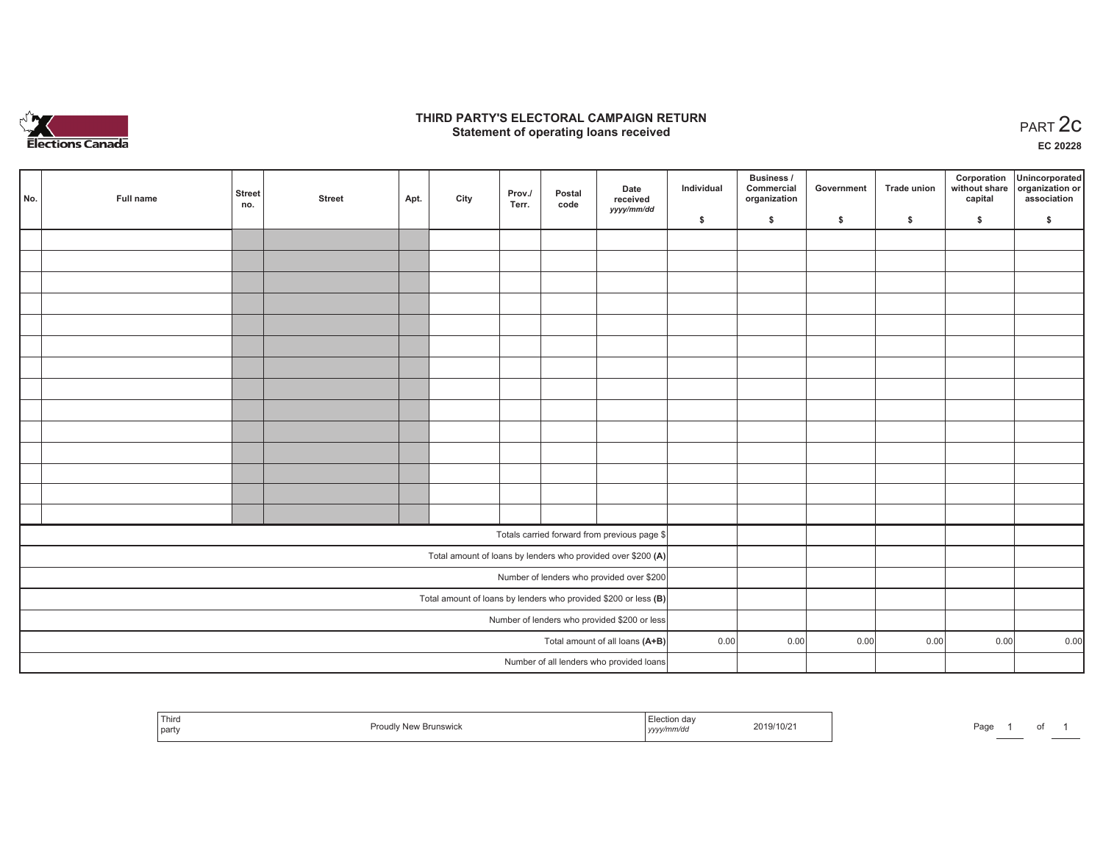

## **THIRD PARTY'S ELECTORAL CAMPAIGN RETURN STATE:** PERSON SELECTORAL CAMPAIGN RETURN<br>
Statement of operating loans received

**EC 20228**

| No.                                          | Full name | <b>Street</b><br>no. | <b>Street</b> | Apt. | City | Prov./<br>Terr. | Postal<br>code | Date<br>received                                                  | Individual | Business /<br>Commercial<br>organization | Government | <b>Trade union</b> | Corporation<br>capital | Unincorporated<br>without share organization or<br>association |
|----------------------------------------------|-----------|----------------------|---------------|------|------|-----------------|----------------|-------------------------------------------------------------------|------------|------------------------------------------|------------|--------------------|------------------------|----------------------------------------------------------------|
|                                              |           |                      |               |      |      |                 |                | yyyy/mm/dd                                                        | \$         | \$                                       | \$         | $\mathsf{s}$       | \$                     | \$                                                             |
|                                              |           |                      |               |      |      |                 |                |                                                                   |            |                                          |            |                    |                        |                                                                |
|                                              |           |                      |               |      |      |                 |                |                                                                   |            |                                          |            |                    |                        |                                                                |
|                                              |           |                      |               |      |      |                 |                |                                                                   |            |                                          |            |                    |                        |                                                                |
|                                              |           |                      |               |      |      |                 |                |                                                                   |            |                                          |            |                    |                        |                                                                |
|                                              |           |                      |               |      |      |                 |                |                                                                   |            |                                          |            |                    |                        |                                                                |
|                                              |           |                      |               |      |      |                 |                |                                                                   |            |                                          |            |                    |                        |                                                                |
|                                              |           |                      |               |      |      |                 |                |                                                                   |            |                                          |            |                    |                        |                                                                |
|                                              |           |                      |               |      |      |                 |                |                                                                   |            |                                          |            |                    |                        |                                                                |
|                                              |           |                      |               |      |      |                 |                |                                                                   |            |                                          |            |                    |                        |                                                                |
|                                              |           |                      |               |      |      |                 |                |                                                                   |            |                                          |            |                    |                        |                                                                |
|                                              |           |                      |               |      |      |                 |                |                                                                   |            |                                          |            |                    |                        |                                                                |
|                                              |           |                      |               |      |      |                 |                |                                                                   |            |                                          |            |                    |                        |                                                                |
|                                              |           |                      |               |      |      |                 |                |                                                                   |            |                                          |            |                    |                        |                                                                |
|                                              |           |                      |               |      |      |                 |                |                                                                   |            |                                          |            |                    |                        |                                                                |
|                                              |           |                      |               |      |      |                 |                | Totals carried forward from previous page \$                      |            |                                          |            |                    |                        |                                                                |
|                                              |           |                      |               |      |      |                 |                | Total amount of loans by lenders who provided over \$200 (A)      |            |                                          |            |                    |                        |                                                                |
|                                              |           |                      |               |      |      |                 |                | Number of lenders who provided over \$200                         |            |                                          |            |                    |                        |                                                                |
|                                              |           |                      |               |      |      |                 |                | Total amount of loans by lenders who provided \$200 or less $(B)$ |            |                                          |            |                    |                        |                                                                |
| Number of lenders who provided \$200 or less |           |                      |               |      |      |                 |                |                                                                   |            |                                          |            |                    |                        |                                                                |
| Total amount of all loans (A+B)              |           |                      |               |      |      |                 |                |                                                                   | 0.00       | 0.00                                     | 0.00       | 0.00               | 0.00                   | 0.00                                                           |
|                                              |           |                      |               |      |      |                 |                | Number of all lenders who provided loans                          |            |                                          |            |                    |                        |                                                                |

| . ∟⊤ "<br>i ulto<br>part | / Now Rrune<br>1.001<br><b>Brunswick</b><br>. | da<br>.<br>, yyyy/mm/dd | 2019/10/21 | Page | $ -$ |  |  |
|--------------------------|-----------------------------------------------|-------------------------|------------|------|------|--|--|
|--------------------------|-----------------------------------------------|-------------------------|------------|------|------|--|--|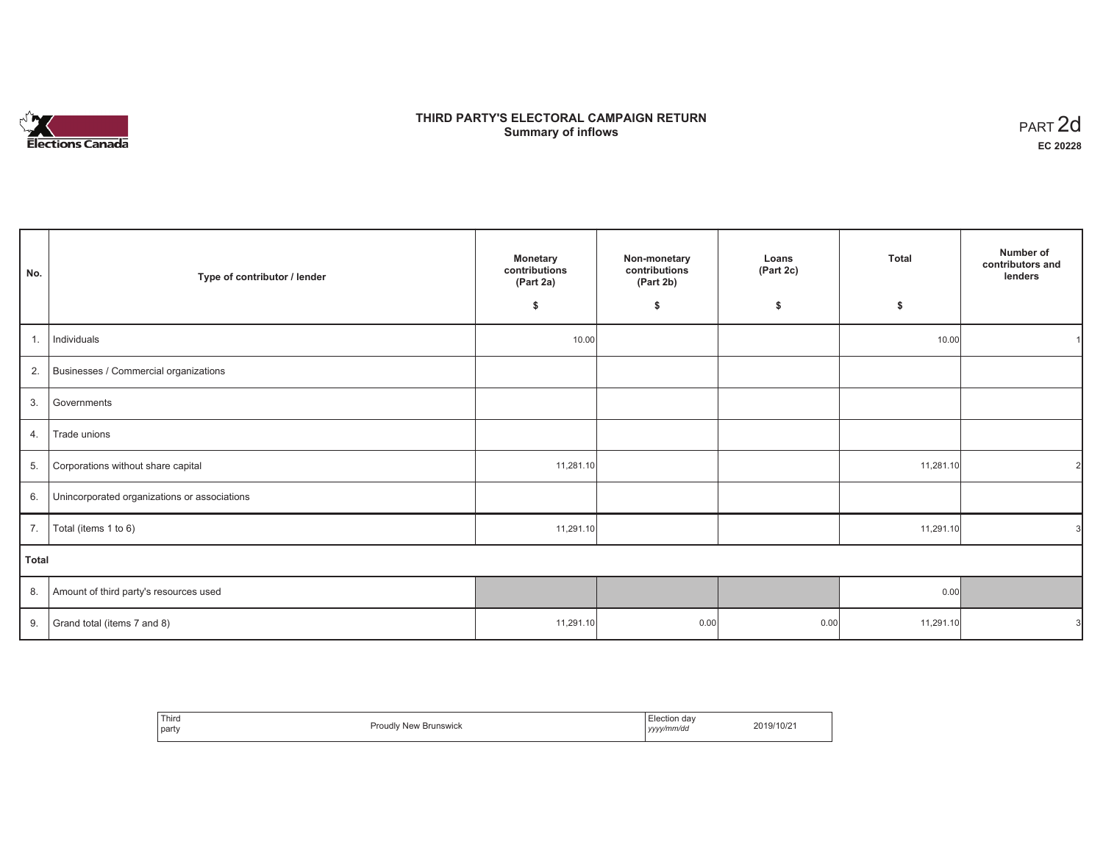# ∼งััััััั **Elections Canada**

# **THIRD PARTY'S ELECTORAL CAMPAIGN RETURN Summary of inflows**

| PART <sub>2d</sub> |
|--------------------|
| EC 20228           |

| No.          | Type of contributor / lender                 | <b>Monetary</b><br>contributions<br>(Part 2a) | Non-monetary<br>contributions<br>(Part 2b) | Loans<br>(Part 2c) | <b>Total</b> | Number of<br>contributors and<br>lenders |
|--------------|----------------------------------------------|-----------------------------------------------|--------------------------------------------|--------------------|--------------|------------------------------------------|
|              |                                              | \$                                            | \$                                         | \$                 | \$           |                                          |
| 1.           | Individuals                                  | 10.00                                         |                                            |                    | 10.00        |                                          |
| 2.           | Businesses / Commercial organizations        |                                               |                                            |                    |              |                                          |
| 3.           | Governments                                  |                                               |                                            |                    |              |                                          |
| 4.           | Trade unions                                 |                                               |                                            |                    |              |                                          |
| 5.           | Corporations without share capital           | 11,281.10                                     |                                            |                    | 11,281.10    | $\overline{2}$                           |
| 6.           | Unincorporated organizations or associations |                                               |                                            |                    |              |                                          |
| 7.           | Total (items 1 to 6)                         | 11,291.10                                     |                                            |                    | 11,291.10    | 31                                       |
| <b>Total</b> |                                              |                                               |                                            |                    |              |                                          |
| 8.           | Amount of third party's resources used       |                                               |                                            |                    | 0.00         |                                          |
| 9.           | Grand total (items 7 and 8)                  | 11,291.10                                     | 0.00                                       | 0.00               | 11,291.10    |                                          |

| Third<br>part | <b>Proudly New Brunswick</b> | :lection dav<br>yyyy/mm/dd<br>,,,,, | 2019/10/2 |
|---------------|------------------------------|-------------------------------------|-----------|
|---------------|------------------------------|-------------------------------------|-----------|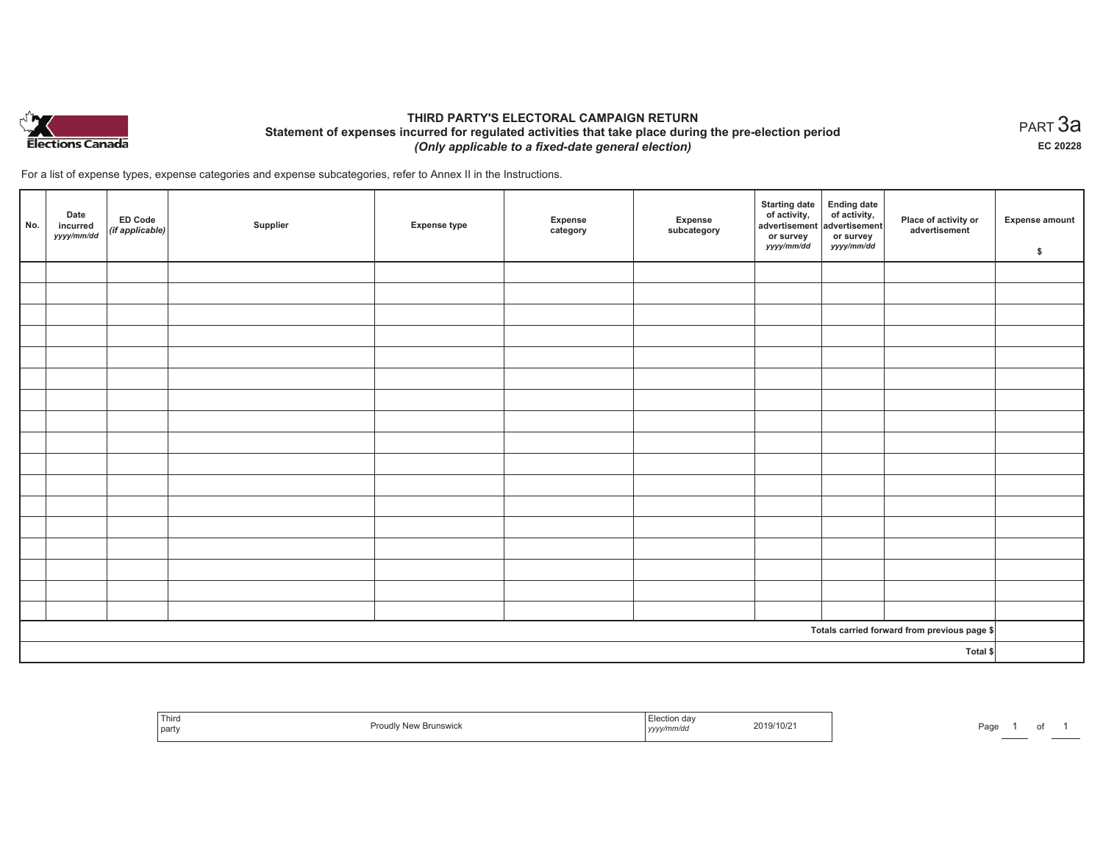

## **THIRD PARTY'S ELECTORAL CAMPAIGN RETURN Statement of expenses incurred for regulated activities that take place during the pre-election period**  *(Only applicable to a fixed-date general election)*

For a list of expense types, expense categories and expense subcategories, refer to Annex II in the Instructions.

| No. | Date<br>incurred<br>yyyy/mm/dd | <b>ED Code</b><br>$($ if applicable $)$ | Supplier | <b>Expense type</b> | Expense<br>category | Expense<br>subcategory | <b>Starting date</b><br>of activity,<br>advertisement<br>or survey<br>yyyy/mm/dd | Ending date<br>of activity,<br>advertisement<br>or survey<br>yyyy/mm/dd | Place of activity or<br>advertisement        | <b>Expense amount</b><br>\$ |
|-----|--------------------------------|-----------------------------------------|----------|---------------------|---------------------|------------------------|----------------------------------------------------------------------------------|-------------------------------------------------------------------------|----------------------------------------------|-----------------------------|
|     |                                |                                         |          |                     |                     |                        |                                                                                  |                                                                         |                                              |                             |
|     |                                |                                         |          |                     |                     |                        |                                                                                  |                                                                         |                                              |                             |
|     |                                |                                         |          |                     |                     |                        |                                                                                  |                                                                         |                                              |                             |
|     |                                |                                         |          |                     |                     |                        |                                                                                  |                                                                         |                                              |                             |
|     |                                |                                         |          |                     |                     |                        |                                                                                  |                                                                         |                                              |                             |
|     |                                |                                         |          |                     |                     |                        |                                                                                  |                                                                         |                                              |                             |
|     |                                |                                         |          |                     |                     |                        |                                                                                  |                                                                         |                                              |                             |
|     |                                |                                         |          |                     |                     |                        |                                                                                  |                                                                         |                                              |                             |
|     |                                |                                         |          |                     |                     |                        |                                                                                  |                                                                         |                                              |                             |
|     |                                |                                         |          |                     |                     |                        |                                                                                  |                                                                         |                                              |                             |
|     |                                |                                         |          |                     |                     |                        |                                                                                  |                                                                         |                                              |                             |
|     |                                |                                         |          |                     |                     |                        |                                                                                  |                                                                         |                                              |                             |
|     |                                |                                         |          |                     |                     |                        |                                                                                  |                                                                         |                                              |                             |
|     |                                |                                         |          |                     |                     |                        |                                                                                  |                                                                         |                                              |                             |
|     |                                |                                         |          |                     |                     |                        |                                                                                  |                                                                         |                                              |                             |
|     |                                |                                         |          |                     |                     |                        |                                                                                  |                                                                         |                                              |                             |
|     |                                |                                         |          |                     |                     |                        |                                                                                  |                                                                         |                                              |                             |
|     |                                |                                         |          |                     |                     |                        |                                                                                  |                                                                         | Totals carried forward from previous page \$ |                             |
|     | Total \$                       |                                         |          |                     |                     |                        |                                                                                  |                                                                         |                                              |                             |

| Third<br><b>STATISTICS</b><br>  party | Proudly New Bruns<br><sup>∍</sup> w Brunswick | ⊨iection dav<br>2019/10/2<br>.<br>yyyymm/aa | Page |
|---------------------------------------|-----------------------------------------------|---------------------------------------------|------|
|---------------------------------------|-----------------------------------------------|---------------------------------------------|------|

 $_{\sf PART}$ 3a **EC 20228**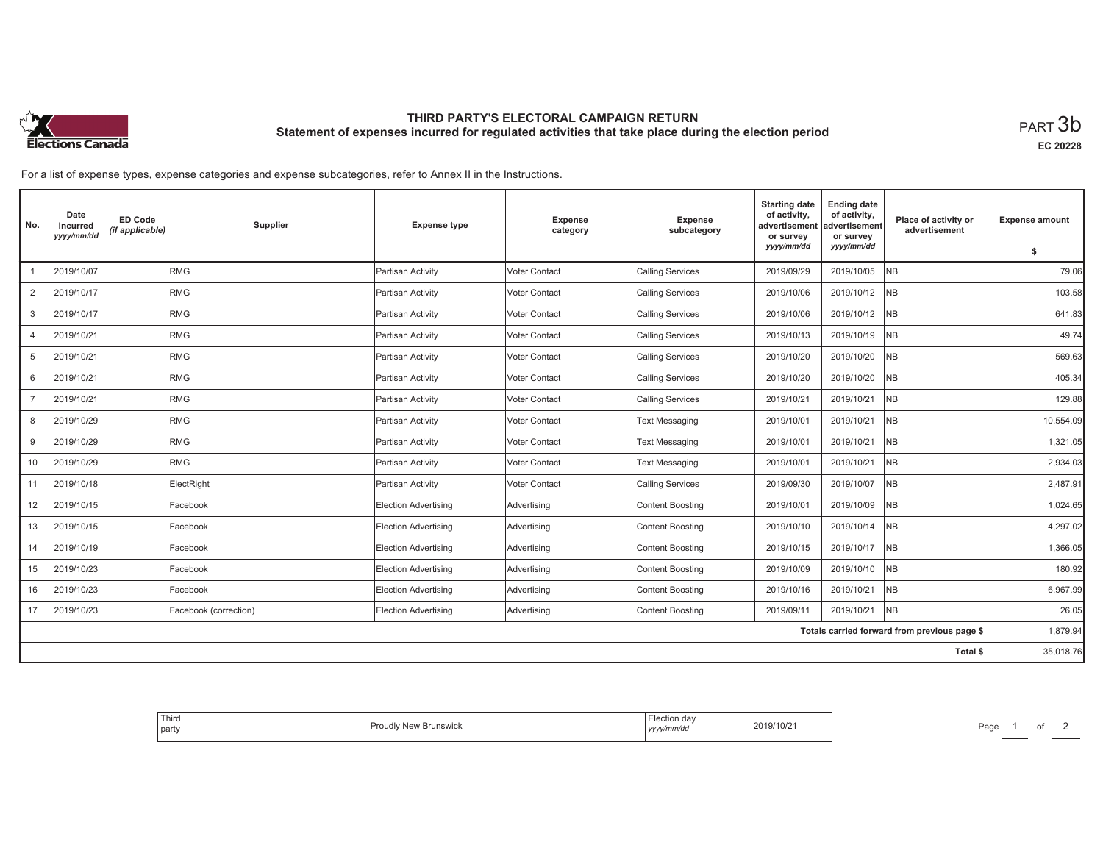

# **THIRD PARTY'S ELECTORAL CAMPAIGN RETURN Statement of expenses incurred for regulated activities that take place during the election period**<br>PART  $3\mathsf{b}$

**EC 20228**

For a list of expense types, expense categories and expense subcategories, refer to Annex II in the Instructions.

| No.             | Date<br>incurred<br>yyyy/mm/dd | <b>ED Code</b><br>(if applicable) | Supplier              | <b>Expense type</b>         | Expense<br>category | <b>Expense</b><br>subcategory | <b>Starting date</b><br>of activity,<br>advertisement<br>or survey | <b>Ending date</b><br>of activity,<br>advertisement<br>or survey | Place of activity or<br>advertisement        | <b>Expense amount</b> |
|-----------------|--------------------------------|-----------------------------------|-----------------------|-----------------------------|---------------------|-------------------------------|--------------------------------------------------------------------|------------------------------------------------------------------|----------------------------------------------|-----------------------|
|                 |                                |                                   |                       |                             |                     |                               | yyyy/mm/dd                                                         | yyyy/mm/dd                                                       |                                              | \$                    |
|                 | 2019/10/07                     |                                   | RMG                   | Partisan Activity           | Voter Contact       | <b>Calling Services</b>       | 2019/09/29                                                         | 2019/10/05                                                       | <b>NB</b>                                    | 79.06                 |
| 2               | 2019/10/17                     |                                   | RMG                   | Partisan Activity           | Voter Contact       | <b>Calling Services</b>       | 2019/10/06                                                         | 2019/10/12                                                       | <b>NB</b>                                    | 103.58                |
| 3               | 2019/10/17                     |                                   | RMG                   | Partisan Activity           | Voter Contact       | <b>Calling Services</b>       | 2019/10/06                                                         | 2019/10/12                                                       | <b>NB</b>                                    | 641.83                |
| $\overline{4}$  | 2019/10/21                     |                                   | RMG                   | Partisan Activity           | Voter Contact       | <b>Calling Services</b>       | 2019/10/13                                                         | 2019/10/19                                                       | NB                                           | 49.74                 |
| 5               | 2019/10/21                     |                                   | RMG                   | Partisan Activity           | Voter Contact       | <b>Calling Services</b>       | 2019/10/20                                                         | 2019/10/20                                                       | <b>NB</b>                                    | 569.63                |
| 6               | 2019/10/21                     |                                   | RMG                   | Partisan Activity           | Voter Contact       | <b>Calling Services</b>       | 2019/10/20                                                         | 2019/10/20                                                       | <b>NB</b>                                    | 405.34                |
|                 | 2019/10/21                     |                                   | RMG                   | Partisan Activity           | Voter Contact       | <b>Calling Services</b>       | 2019/10/21                                                         | 2019/10/21                                                       | <b>NB</b>                                    | 129.88                |
| 8               | 2019/10/29                     |                                   | <b>RMG</b>            | Partisan Activity           | Voter Contact       | <b>Text Messaging</b>         | 2019/10/01                                                         | 2019/10/21                                                       | <b>NB</b>                                    | 10,554.09             |
| 9               | 2019/10/29                     |                                   | RMG                   | Partisan Activity           | Voter Contact       | <b>Text Messaging</b>         | 2019/10/01                                                         | 2019/10/21                                                       | N <sub>B</sub>                               | 1,321.05              |
| 10 <sup>1</sup> | 2019/10/29                     |                                   | RMG                   | Partisan Activity           | Voter Contact       | <b>Text Messaging</b>         | 2019/10/01                                                         | 2019/10/21                                                       | <b>NB</b>                                    | 2,934.03              |
| 11              | 2019/10/18                     |                                   | ElectRight            | Partisan Activity           | Voter Contact       | <b>Calling Services</b>       | 2019/09/30                                                         | 2019/10/07                                                       | N <sub>B</sub>                               | 2,487.91              |
| 12              | 2019/10/15                     |                                   | Facebook              | <b>Election Advertising</b> | Advertising         | <b>Content Boosting</b>       | 2019/10/01                                                         | 2019/10/09                                                       | NB                                           | 1,024.65              |
| 13              | 2019/10/15                     |                                   | Facebook              | Election Advertising        | Advertising         | <b>Content Boosting</b>       | 2019/10/10                                                         | 2019/10/14                                                       | <b>NB</b>                                    | 4,297.02              |
| 14              | 2019/10/19                     |                                   | Facebook              | Election Advertising        | Advertising         | <b>Content Boosting</b>       | 2019/10/15                                                         | 2019/10/17                                                       | <b>NB</b>                                    | 1,366.05              |
| 15              | 2019/10/23                     |                                   | Facebook              | Election Advertising        | Advertising         | <b>Content Boosting</b>       | 2019/10/09                                                         | 2019/10/10                                                       | <b>NB</b>                                    | 180.92                |
| 16              | 2019/10/23                     |                                   | Facebook              | Election Advertising        | Advertising         | <b>Content Boosting</b>       | 2019/10/16                                                         | 2019/10/21                                                       | <b>NB</b>                                    | 6,967.99              |
| 17              | 2019/10/23                     |                                   | Facebook (correction) | Election Advertising        | Advertising         | <b>Content Boosting</b>       | 2019/09/11                                                         | 2019/10/21                                                       | <b>NB</b>                                    | 26.05                 |
|                 |                                |                                   |                       |                             |                     |                               |                                                                    |                                                                  | Totals carried forward from previous page \$ | 1,879.94              |
|                 |                                |                                   |                       |                             |                     |                               |                                                                    |                                                                  | Total \$                                     | 35,018.76             |

| <sup>I</sup> Third<br>Election<br>2019/10/21<br>$3 - 4$<br><b>Brunswick</b><br>party<br>mm/a<br>.<br>,,,, |
|-----------------------------------------------------------------------------------------------------------|
|-----------------------------------------------------------------------------------------------------------|

Page 1 of 2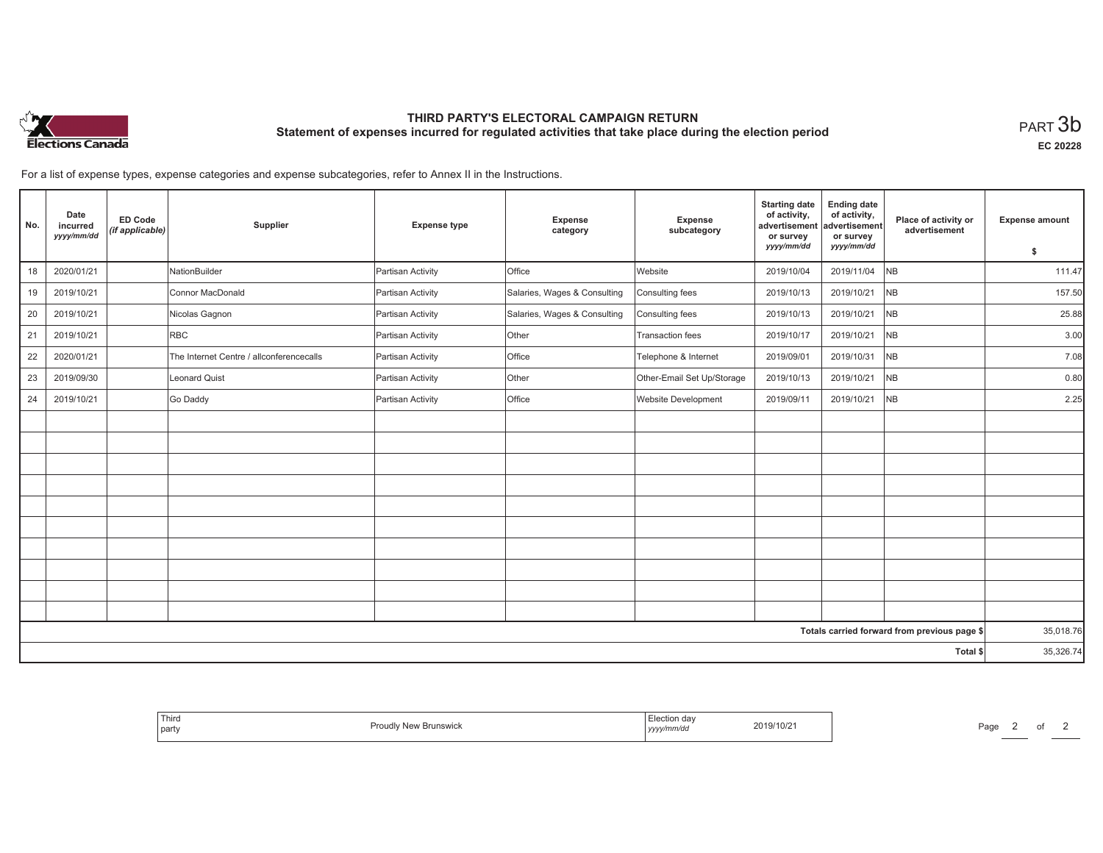

# **THIRD PARTY'S ELECTORAL CAMPAIGN RETURN Statement of expenses incurred for regulated activities that take place during the election period**<br>PART  $3\mathsf{b}$

**EC 20228**

For a list of expense types, expense categories and expense subcategories, refer to Annex II in the Instructions.

| No. | Date<br>incurred<br>yyyy/mm/dd | <b>ED Code</b><br>(if applicable) | Supplier                                 | <b>Expense type</b> | Expense<br>category          | <b>Expense</b><br>subcategory | <b>Starting date</b><br>of activity,<br>advertisement<br>or survey | <b>Ending date</b><br>of activity,<br>advertisement<br>or survey | Place of activity or<br>advertisement        | <b>Expense amount</b> |
|-----|--------------------------------|-----------------------------------|------------------------------------------|---------------------|------------------------------|-------------------------------|--------------------------------------------------------------------|------------------------------------------------------------------|----------------------------------------------|-----------------------|
|     |                                |                                   |                                          |                     |                              |                               | yyyy/mm/dd                                                         | yyyy/mm/dd                                                       |                                              | \$                    |
| 18  | 2020/01/21                     |                                   | NationBuilder                            | Partisan Activity   | Office                       | Website                       | 2019/10/04                                                         | 2019/11/04                                                       | <b>NB</b>                                    | 111.47                |
| 19  | 2019/10/21                     |                                   | Connor MacDonald                         | Partisan Activity   | Salaries, Wages & Consulting | Consulting fees               | 2019/10/13                                                         | 2019/10/21                                                       | N <sub>B</sub>                               | 157.50                |
| 20  | 2019/10/21                     |                                   | Nicolas Gagnon                           | Partisan Activity   | Salaries, Wages & Consulting | Consulting fees               | 2019/10/13                                                         | 2019/10/21                                                       | NB                                           | 25.88                 |
| 21  | 2019/10/21                     |                                   | <b>RBC</b>                               | Partisan Activity   | Other                        | Transaction fees              | 2019/10/17                                                         | 2019/10/21                                                       | <b>NB</b>                                    | 3.00                  |
| 22  | 2020/01/21                     |                                   | The Internet Centre / allconferencecalls | Partisan Activity   | Office                       | Telephone & Internet          | 2019/09/01                                                         | 2019/10/31                                                       | N <sub>B</sub>                               | 7.08                  |
| 23  | 2019/09/30                     |                                   | Leonard Quist                            | Partisan Activity   | Other                        | Other-Email Set Up/Storage    | 2019/10/13                                                         | 2019/10/21                                                       | <b>NB</b>                                    | 0.80                  |
| 24  | 2019/10/21                     |                                   | Go Daddy                                 | Partisan Activity   | Office                       | Website Development           | 2019/09/11                                                         | 2019/10/21                                                       | <b>NB</b>                                    | 2.25                  |
|     |                                |                                   |                                          |                     |                              |                               |                                                                    |                                                                  |                                              |                       |
|     |                                |                                   |                                          |                     |                              |                               |                                                                    |                                                                  |                                              |                       |
|     |                                |                                   |                                          |                     |                              |                               |                                                                    |                                                                  |                                              |                       |
|     |                                |                                   |                                          |                     |                              |                               |                                                                    |                                                                  |                                              |                       |
|     |                                |                                   |                                          |                     |                              |                               |                                                                    |                                                                  |                                              |                       |
|     |                                |                                   |                                          |                     |                              |                               |                                                                    |                                                                  |                                              |                       |
|     |                                |                                   |                                          |                     |                              |                               |                                                                    |                                                                  |                                              |                       |
|     |                                |                                   |                                          |                     |                              |                               |                                                                    |                                                                  |                                              |                       |
|     |                                |                                   |                                          |                     |                              |                               |                                                                    |                                                                  |                                              |                       |
|     |                                |                                   |                                          |                     |                              |                               |                                                                    |                                                                  |                                              |                       |
|     |                                |                                   |                                          |                     |                              |                               |                                                                    |                                                                  | Totals carried forward from previous page \$ | 35,018.76             |
|     |                                |                                   |                                          |                     |                              |                               |                                                                    |                                                                  | Total \$                                     | 35,326.74             |

| Election day<br>$2019/10/z$ .<br>vyy/mm/do<br>  <i>yyyy</i> | ' Third<br>Proud<br><b>Brunswick</b><br>۱ Nم<br>party |
|-------------------------------------------------------------|-------------------------------------------------------|
|-------------------------------------------------------------|-------------------------------------------------------|